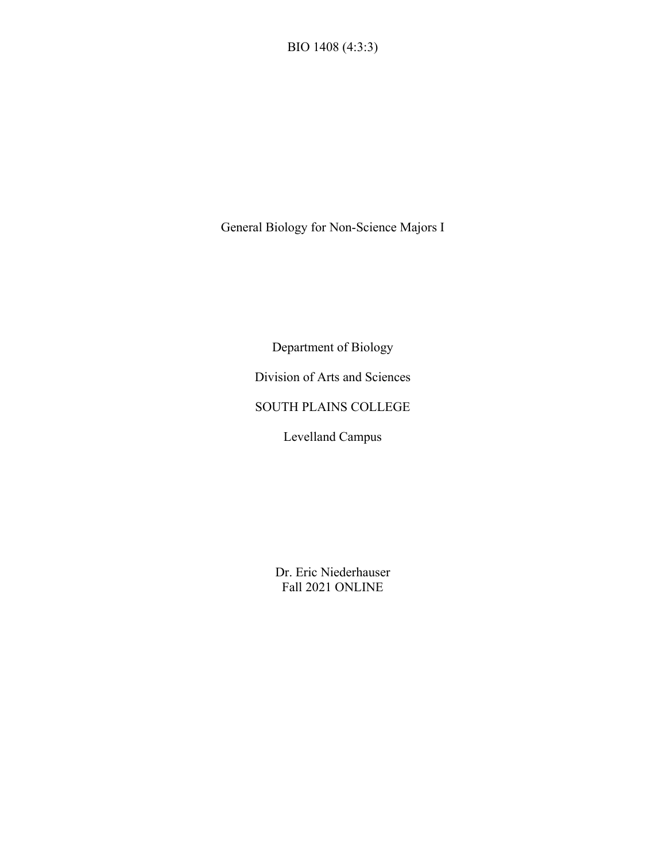General Biology for Non-Science Majors I

Department of Biology

Division of Arts and Sciences

SOUTH PLAINS COLLEGE

Levelland Campus

Dr. Eric Niederhauser Fall 2021 ONLINE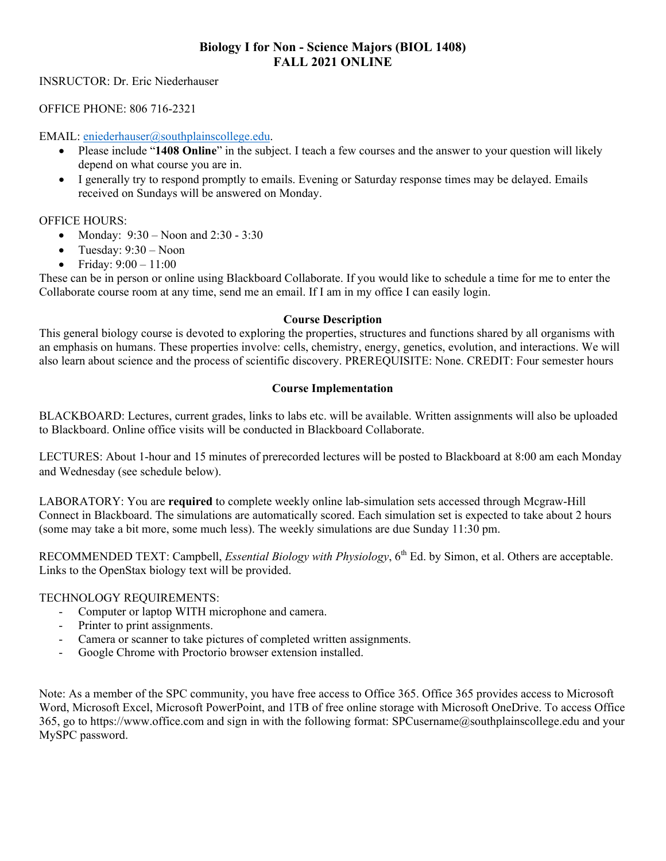## **Biology I for Non - Science Majors (BIOL 1408) FALL 2021 ONLINE**

INSRUCTOR: Dr. Eric Niederhauser

OFFICE PHONE: 806 716-2321

EMAIL: [eniederhauser@southplainscollege.edu.](mailto:eniederhauser@southplainscollege.edu)

- Please include "**1408 Online**" in the subject. I teach a few courses and the answer to your question will likely depend on what course you are in.
- I generally try to respond promptly to emails. Evening or Saturday response times may be delayed. Emails received on Sundays will be answered on Monday.

#### OFFICE HOURS:

- Monday:  $9:30 N$ oon and  $2:30 3:30$
- Tuesday: 9:30 Noon
- Friday: 9:00 11:00

These can be in person or online using Blackboard Collaborate. If you would like to schedule a time for me to enter the Collaborate course room at any time, send me an email. If I am in my office I can easily login.

#### **Course Description**

This general biology course is devoted to exploring the properties, structures and functions shared by all organisms with an emphasis on humans. These properties involve: cells, chemistry, energy, genetics, evolution, and interactions. We will also learn about science and the process of scientific discovery. PREREQUISITE: None. CREDIT: Four semester hours

#### **Course Implementation**

BLACKBOARD: Lectures, current grades, links to labs etc. will be available. Written assignments will also be uploaded to Blackboard. Online office visits will be conducted in Blackboard Collaborate.

LECTURES: About 1-hour and 15 minutes of prerecorded lectures will be posted to Blackboard at 8:00 am each Monday and Wednesday (see schedule below).

LABORATORY: You are **required** to complete weekly online lab-simulation sets accessed through Mcgraw-Hill Connect in Blackboard. The simulations are automatically scored. Each simulation set is expected to take about 2 hours (some may take a bit more, some much less). The weekly simulations are due Sunday 11:30 pm.

RECOMMENDED TEXT: Campbell, *Essential Biology with Physiology*, 6<sup>th</sup> Ed. by Simon, et al. Others are acceptable. Links to the OpenStax biology text will be provided.

#### TECHNOLOGY REQUIREMENTS:

- Computer or laptop WITH microphone and camera.<br>- Printer to print assignments.
- Printer to print assignments.
- Camera or scanner to take pictures of completed written assignments.
- Google Chrome with Proctorio browser extension installed.

Note: As a member of the SPC community, you have free access to Office 365. Office 365 provides access to Microsoft Word, Microsoft Excel, Microsoft PowerPoint, and 1TB of free online storage with Microsoft OneDrive. To access Office 365, go to https://www.office.com and sign in with the following format: SPCusername@southplainscollege.edu and your MySPC password.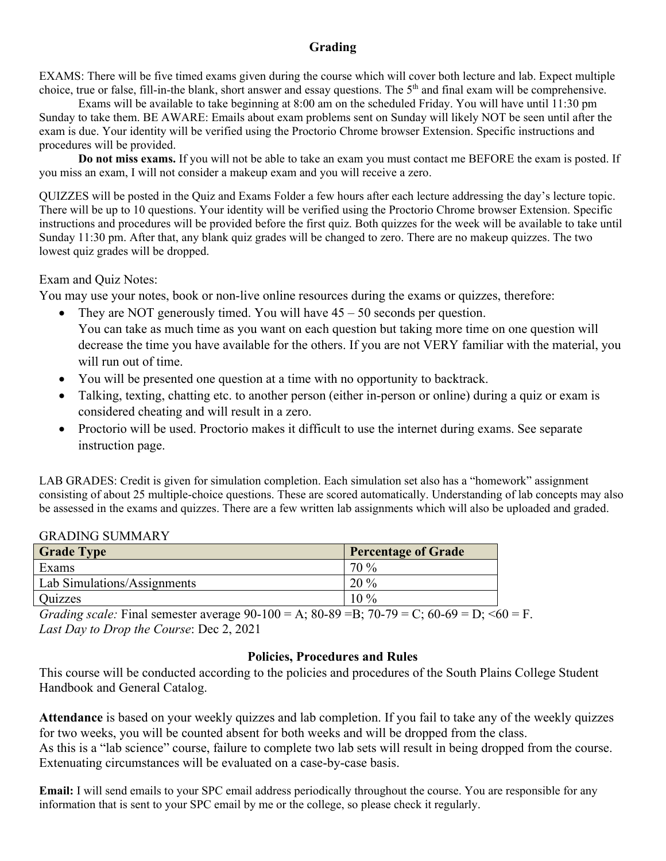## **Grading**

EXAMS: There will be five timed exams given during the course which will cover both lecture and lab. Expect multiple choice, true or false, fill-in-the blank, short answer and essay questions. The 5<sup>th</sup> and final exam will be comprehensive.

Exams will be available to take beginning at 8:00 am on the scheduled Friday. You will have until 11:30 pm Sunday to take them. BE AWARE: Emails about exam problems sent on Sunday will likely NOT be seen until after the exam is due. Your identity will be verified using the Proctorio Chrome browser Extension. Specific instructions and procedures will be provided.

**Do not miss exams.** If you will not be able to take an exam you must contact me BEFORE the exam is posted. If you miss an exam, I will not consider a makeup exam and you will receive a zero.

QUIZZES will be posted in the Quiz and Exams Folder a few hours after each lecture addressing the day's lecture topic. There will be up to 10 questions. Your identity will be verified using the Proctorio Chrome browser Extension. Specific instructions and procedures will be provided before the first quiz. Both quizzes for the week will be available to take until Sunday 11:30 pm. After that, any blank quiz grades will be changed to zero. There are no makeup quizzes. The two lowest quiz grades will be dropped.

## Exam and Quiz Notes:

You may use your notes, book or non-live online resources during the exams or quizzes, therefore:

- They are NOT generously timed. You will have  $45 50$  seconds per question. You can take as much time as you want on each question but taking more time on one question will decrease the time you have available for the others. If you are not VERY familiar with the material, you will run out of time.
- You will be presented one question at a time with no opportunity to backtrack.
- Talking, texting, chatting etc. to another person (either in-person or online) during a quiz or exam is considered cheating and will result in a zero.
- Proctorio will be used. Proctorio makes it difficult to use the internet during exams. See separate instruction page.

LAB GRADES: Credit is given for simulation completion. Each simulation set also has a "homework" assignment consisting of about 25 multiple-choice questions. These are scored automatically. Understanding of lab concepts may also be assessed in the exams and quizzes. There are a few written lab assignments which will also be uploaded and graded.

| <b>Grade Type</b>                  | <b>Percentage of Grade</b> |
|------------------------------------|----------------------------|
| Exams                              | 70 %                       |
| <b>Lab Simulations/Assignments</b> | $20\%$                     |
| <b>Ouizzes</b>                     | $10\%$                     |

## GRADING SUMMARY

*Grading scale:* Final semester average  $90-100 = A$ ;  $80-89 = B$ ;  $70-79 = C$ ;  $60-69 = D$ ;  $60 = F$ . *Last Day to Drop the Course*: Dec 2, 2021

## **Policies, Procedures and Rules**

This course will be conducted according to the policies and procedures of the South Plains College Student Handbook and General Catalog.

**Attendance** is based on your weekly quizzes and lab completion. If you fail to take any of the weekly quizzes for two weeks, you will be counted absent for both weeks and will be dropped from the class. As this is a "lab science" course, failure to complete two lab sets will result in being dropped from the course. Extenuating circumstances will be evaluated on a case-by-case basis.

**Email:** I will send emails to your SPC email address periodically throughout the course. You are responsible for any information that is sent to your SPC email by me or the college, so please check it regularly.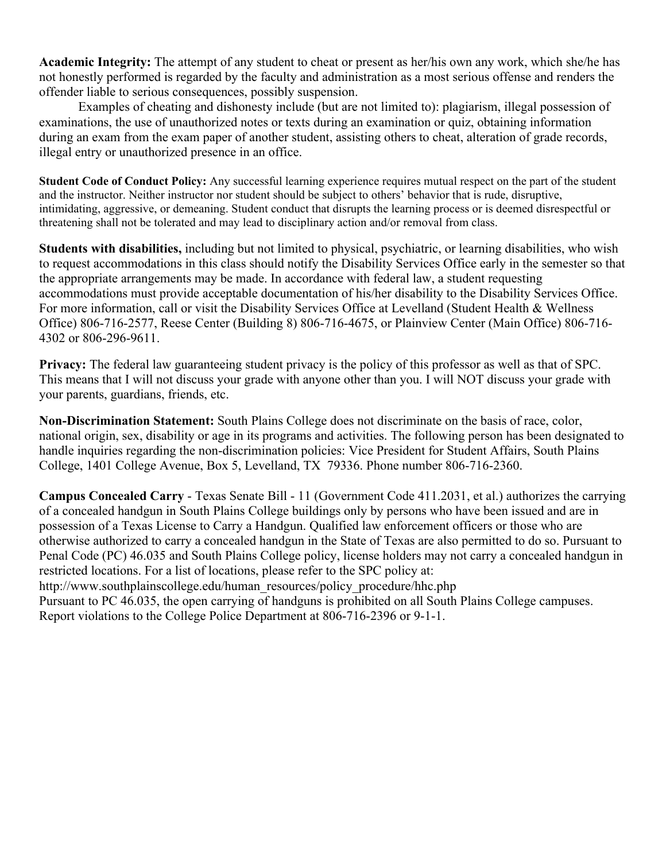**Academic Integrity:** The attempt of any student to cheat or present as her/his own any work, which she/he has not honestly performed is regarded by the faculty and administration as a most serious offense and renders the offender liable to serious consequences, possibly suspension.

Examples of cheating and dishonesty include (but are not limited to): plagiarism, illegal possession of examinations, the use of unauthorized notes or texts during an examination or quiz, obtaining information during an exam from the exam paper of another student, assisting others to cheat, alteration of grade records, illegal entry or unauthorized presence in an office.

**Student Code of Conduct Policy:** Any successful learning experience requires mutual respect on the part of the student and the instructor. Neither instructor nor student should be subject to others' behavior that is rude, disruptive, intimidating, aggressive, or demeaning. Student conduct that disrupts the learning process or is deemed disrespectful or threatening shall not be tolerated and may lead to disciplinary action and/or removal from class.

**Students with disabilities,** including but not limited to physical, psychiatric, or learning disabilities, who wish to request accommodations in this class should notify the Disability Services Office early in the semester so that the appropriate arrangements may be made. In accordance with federal law, a student requesting accommodations must provide acceptable documentation of his/her disability to the Disability Services Office. For more information, call or visit the Disability Services Office at Levelland (Student Health & Wellness Office) 806-716-2577, Reese Center (Building 8) 806-716-4675, or Plainview Center (Main Office) 806-716- 4302 or 806-296-9611.

**Privacy:** The federal law guaranteeing student privacy is the policy of this professor as well as that of SPC. This means that I will not discuss your grade with anyone other than you. I will NOT discuss your grade with your parents, guardians, friends, etc.

**Non-Discrimination Statement:** South Plains College does not discriminate on the basis of race, color, national origin, sex, disability or age in its programs and activities. The following person has been designated to handle inquiries regarding the non-discrimination policies: Vice President for Student Affairs, South Plains College, 1401 College Avenue, Box 5, Levelland, TX 79336. Phone number 806-716-2360.

**Campus Concealed Carry** - Texas Senate Bill - 11 (Government Code 411.2031, et al.) authorizes the carrying of a concealed handgun in South Plains College buildings only by persons who have been issued and are in possession of a Texas License to Carry a Handgun. Qualified law enforcement officers or those who are otherwise authorized to carry a concealed handgun in the State of Texas are also permitted to do so. Pursuant to Penal Code (PC) 46.035 and South Plains College policy, license holders may not carry a concealed handgun in restricted locations. For a list of locations, please refer to the SPC policy at:

http://www.southplainscollege.edu/human\_resources/policy\_procedure/hhc.php

Pursuant to PC 46.035, the open carrying of handguns is prohibited on all South Plains College campuses. Report violations to the College Police Department at 806-716-2396 or 9-1-1.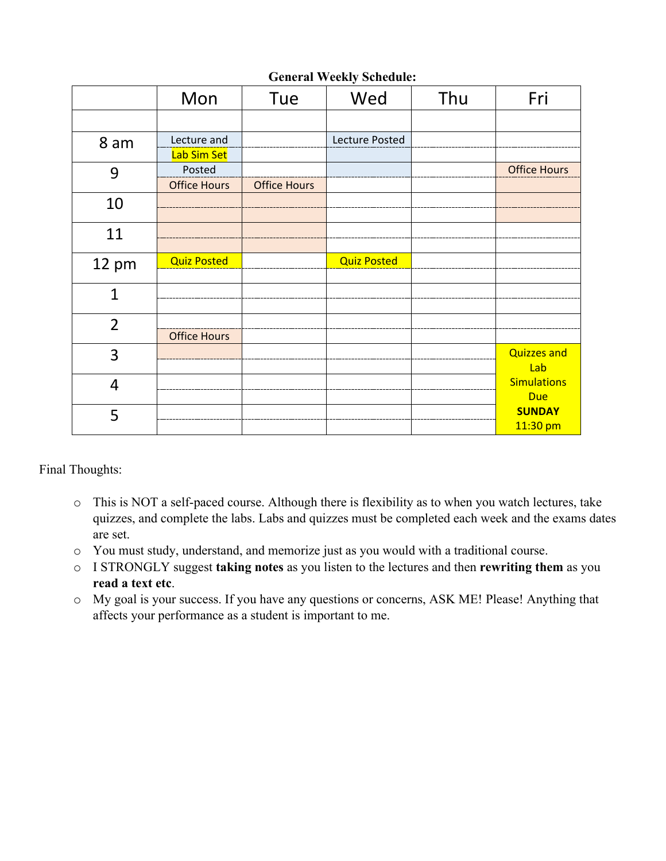| <b>General Weekly Schedule:</b> |
|---------------------------------|
|---------------------------------|

|                | Mon                           | Tue                 | Wed                | Thu | Fri                              |
|----------------|-------------------------------|---------------------|--------------------|-----|----------------------------------|
|                |                               |                     |                    |     |                                  |
| 8 am           | Lecture and<br>Lab Sim Set    |                     | Lecture Posted     |     |                                  |
| 9              | Posted<br><b>Office Hours</b> | <b>Office Hours</b> |                    |     | <b>Office Hours</b>              |
| 10             |                               |                     |                    |     |                                  |
| 11             |                               |                     |                    |     |                                  |
| 12 pm          | <b>Quiz Posted</b>            |                     | <b>Quiz Posted</b> |     |                                  |
| 1              |                               |                     |                    |     |                                  |
| $\overline{2}$ | <b>Office Hours</b>           |                     |                    |     |                                  |
| 3              |                               |                     |                    |     | <b>Quizzes and</b><br>Lab        |
| $\overline{4}$ |                               |                     |                    |     | <b>Simulations</b><br><b>Due</b> |
| 5              |                               |                     |                    |     | <b>SUNDAY</b><br>11:30 pm        |

Final Thoughts:

- o This is NOT a self-paced course. Although there is flexibility as to when you watch lectures, take quizzes, and complete the labs. Labs and quizzes must be completed each week and the exams dates are set.
- o You must study, understand, and memorize just as you would with a traditional course.
- o I STRONGLY suggest **taking notes** as you listen to the lectures and then **rewriting them** as you **read a text etc**.
- o My goal is your success. If you have any questions or concerns, ASK ME! Please! Anything that affects your performance as a student is important to me.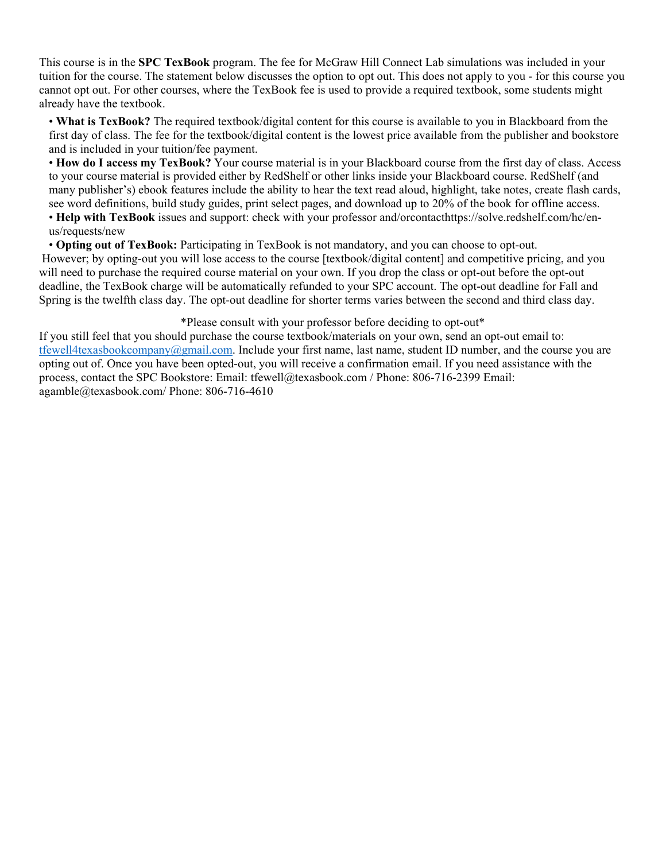This course is in the **SPC TexBook** program. The fee for McGraw Hill Connect Lab simulations was included in your tuition for the course. The statement below discusses the option to opt out. This does not apply to you - for this course you cannot opt out. For other courses, where the TexBook fee is used to provide a required textbook, some students might already have the textbook.

• **What is TexBook?** The required textbook/digital content for this course is available to you in Blackboard from the first day of class. The fee for the textbook/digital content is the lowest price available from the publisher and bookstore and is included in your tuition/fee payment.

• **How do I access my TexBook?** Your course material is in your Blackboard course from the first day of class. Access to your course material is provided either by RedShelf or other links inside your Blackboard course. RedShelf (and many publisher's) ebook features include the ability to hear the text read aloud, highlight, take notes, create flash cards, see word definitions, build study guides, print select pages, and download up to 20% of the book for offline access.

• **Help with TexBook** issues and support: check with your professor and/orcontacthttps://solve.redshelf.com/hc/enus/requests/new

• **Opting out of TexBook:** Participating in TexBook is not mandatory, and you can choose to opt-out.

However; by opting-out you will lose access to the course [textbook/digital content] and competitive pricing, and you will need to purchase the required course material on your own. If you drop the class or opt-out before the opt-out deadline, the TexBook charge will be automatically refunded to your SPC account. The opt-out deadline for Fall and Spring is the twelfth class day. The opt-out deadline for shorter terms varies between the second and third class day.

#### \*Please consult with your professor before deciding to opt-out\*

If you still feel that you should purchase the course textbook/materials on your own, send an opt-out email to: [tfewell4texasbookcompany@gmail.com.](mailto:tfewell4texasbookcompany@gmail.com) Include your first name, last name, student ID number, and the course you are opting out of. Once you have been opted-out, you will receive a confirmation email. If you need assistance with the process, contact the SPC Bookstore: Email: tfewell@texasbook.com / Phone: 806-716-2399 Email: agamble@texasbook.com/ Phone: 806-716-4610